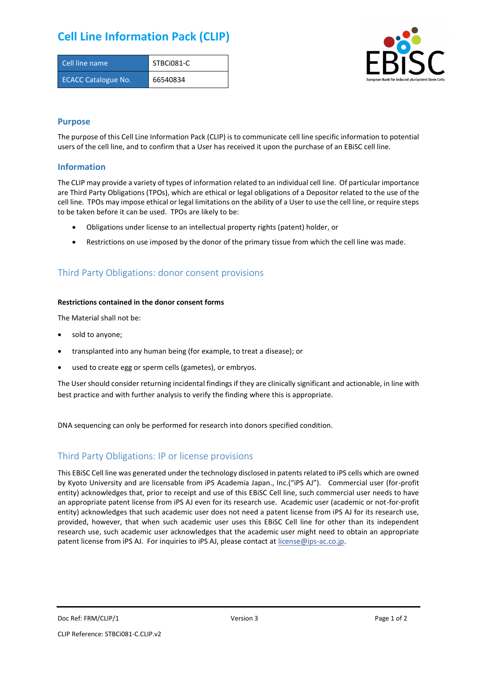## **Cell Line Information Pack (CLIP)**

| Cell line name             | STBCi081-C |
|----------------------------|------------|
| <b>ECACC Catalogue No.</b> | 66540834   |



### **Purpose**

The purpose of this Cell Line Information Pack (CLIP) is to communicate cell line specific information to potential users of the cell line, and to confirm that a User has received it upon the purchase of an EBiSC cell line.

### **Information**

The CLIP may provide a variety of types of information related to an individual cell line. Of particular importance are Third Party Obligations (TPOs), which are ethical or legal obligations of a Depositor related to the use of the cell line. TPOs may impose ethical or legal limitations on the ability of a User to use the cell line, or require steps to be taken before it can be used. TPOs are likely to be:

- Obligations under license to an intellectual property rights (patent) holder, or
- Restrictions on use imposed by the donor of the primary tissue from which the cell line was made.

## Third Party Obligations: donor consent provisions

#### **Restrictions contained in the donor consent forms**

The Material shall not be:

- sold to anyone;
- transplanted into any human being (for example, to treat a disease); or
- used to create egg or sperm cells (gametes), or embryos.

The User should consider returning incidental findings if they are clinically significant and actionable, in line with best practice and with further analysis to verify the finding where this is appropriate.

DNA sequencing can only be performed for research into donors specified condition.

### Third Party Obligations: IP or license provisions

This EBiSC Cell line was generated under the technology disclosed in patents related to iPS cells which are owned by Kyoto University and are licensable from iPS Academia Japan., Inc.("iPS AJ"). Commercial user (for-profit entity) acknowledges that, prior to receipt and use of this EBiSC Cell line, such commercial user needs to have an appropriate patent license from iPS AJ even for its research use. Academic user (academic or not-for-profit entity) acknowledges that such academic user does not need a patent license from iPS AJ for its research use, provided, however, that when such academic user uses this EBiSC Cell line for other than its independent research use, such academic user acknowledges that the academic user might need to obtain an appropriate patent license from iPS AJ. For inquiries to iPS AJ, please contact at [license@ips-ac.co.jp.](mailto:license@ips-ac.co.jp)